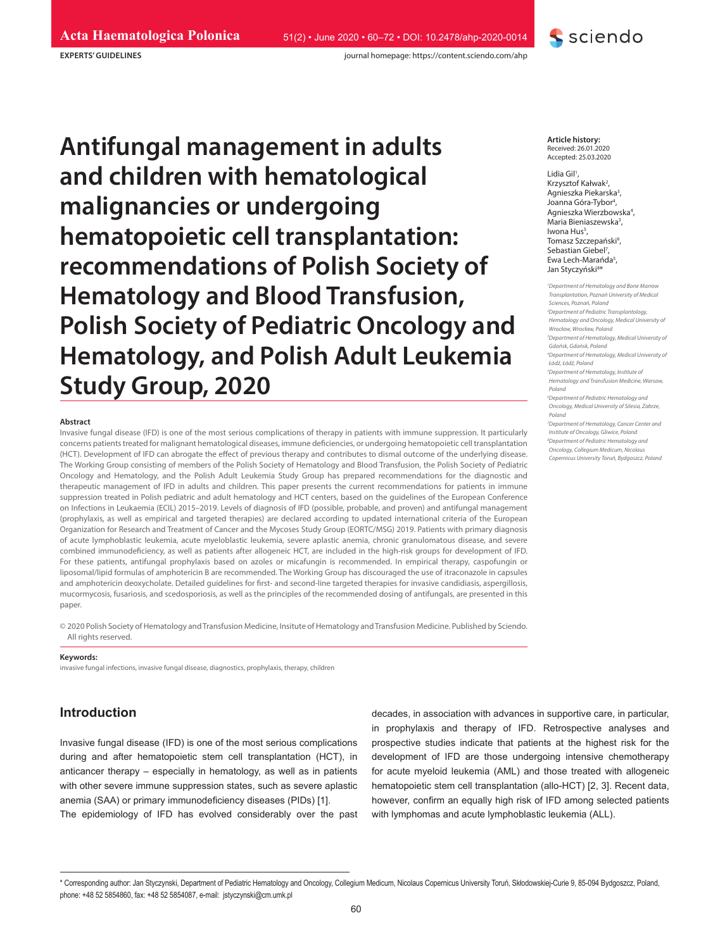journal homepage: https://content.sciendo.com/ahp

**EXPERTS' GUIDELINES**

**Antifungal management in adults and children with hematological malignancies or undergoing hematopoietic cell transplantation: recommendations of Polish Society of Hematology and Blood Transfusion, Polish Society of Pediatric Oncology and Hematology, and Polish Adult Leukemia Study Group, 2020**

#### **Abstract**

Invasive fungal disease (IFD) is one of the most serious complications of therapy in patients with immune suppression. It particularly concerns patients treated for malignant hematological diseases, immune deficiencies, or undergoing hematopoietic cell transplantation (HCT). Development of IFD can abrogate the effect of previous therapy and contributes to dismal outcome of the underlying disease. The Working Group consisting of members of the Polish Society of Hematology and Blood Transfusion, the Polish Society of Pediatric Oncology and Hematology, and the Polish Adult Leukemia Study Group has prepared recommendations for the diagnostic and therapeutic management of IFD in adults and children. This paper presents the current recommendations for patients in immune suppression treated in Polish pediatric and adult hematology and HCT centers, based on the guidelines of the European Conference on Infections in Leukaemia (ECIL) 2015–2019. Levels of diagnosis of IFD (possible, probable, and proven) and antifungal management (prophylaxis, as well as empirical and targeted therapies) are declared according to updated international criteria of the European Organization for Research and Treatment of Cancer and the Mycoses Study Group (EORTC/MSG) 2019. Patients with primary diagnosis of acute lymphoblastic leukemia, acute myeloblastic leukemia, severe aplastic anemia, chronic granulomatous disease, and severe combined immunodeficiency, as well as patients after allogeneic HCT, are included in the high-risk groups for development of IFD. For these patients, antifungal prophylaxis based on azoles or micafungin is recommended. In empirical therapy, caspofungin or liposomal/lipid formulas of amphotericin B are recommended. The Working Group has discouraged the use of itraconazole in capsules and amphotericin deoxycholate. Detailed guidelines for first- and second-line targeted therapies for invasive candidiasis, aspergillosis, mucormycosis, fusariosis, and scedosporiosis, as well as the principles of the recommended dosing of antifungals, are presented in this paper.

© 2020 Polish Society of Hematology and Transfusion Medicine, Insitute of Hematology and Transfusion Medicine. Published by Sciendo. All rights reserved.

#### **Keywords:**

invasive fungal infections, invasive fungal disease, diagnostics, prophylaxis, therapy, children

# **Introduction**

Invasive fungal disease (IFD) is one of the most serious complications during and after hematopoietic stem cell transplantation (HCT), in anticancer therapy – especially in hematology, as well as in patients with other severe immune suppression states, such as severe aplastic anemia (SAA) or primary immunodeficiency diseases (PIDs) [1]. The epidemiology of IFD has evolved considerably over the past

decades, in association with advances in supportive care, in particular, in prophylaxis and therapy of IFD. Retrospective analyses and prospective studies indicate that patients at the highest risk for the development of IFD are those undergoing intensive chemotherapy for acute myeloid leukemia (AML) and those treated with allogeneic hematopoietic stem cell transplantation (allo-HCT) [2, 3]. Recent data, however, confirm an equally high risk of IFD among selected patients with lymphomas and acute lymphoblastic leukemia (ALL).

Lidia Gil<sup>1</sup>, Krzysztof Kałwak<sup>2</sup>, Agnieszka Piekarska3 , Joanna Góra-Tybor<sup>4</sup>, Agnieszka Wierzbowska<sup>4</sup>, Maria Bieniaszewska3 , lwona Hus<sup>5</sup>, Tomasz Szczepański<sup>6</sup>, Sebastian Giebel<sup>7</sup>, Ewa Lech-Marańda<sup>5</sup>, Jan Styczyński<sup>8\*</sup>

**S** sciendo

*1 Department of Hematology and Bone Marrow Transplantation, Poznań University of Medical Sciences, Poznań, Poland 2 Department of Pediatric Transplantology, Hematology and Oncology, Medical University of Wrocław, Wrocław, Poland 3 Department of Hematology, Medical University of Gdańsk, Gdańsk, Poland 4 Department of Hematology, Medical University of Łódź, Łódź, Poland 5 Department of Hematology, Institute of Hematology and Transfusion Medicine, Warsaw, Poland 6 Department of Pediatric Hematology and Oncology, Medical University of Silesia, Zabrze, Poland 7 Department of Hematology, Cancer Center and* 

*Institute of Oncology, Gliwice, Poland*

- *8 Department of Pediatric Hematology and Oncology, Collegium Medicum, Nicolaus*
- *Copernicus University Toruń, Bydgoszcz, Poland*

**Article history:** Received: 26.01.2020 Accepted: 25.03.2020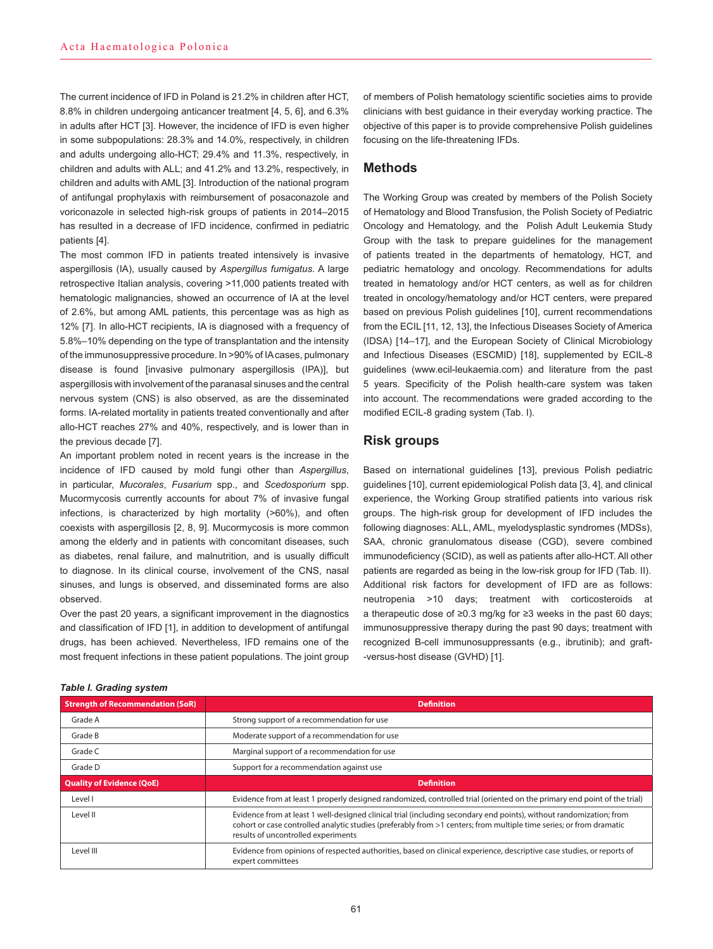The current incidence of IFD in Poland is 21.2% in children after HCT, 8.8% in children undergoing anticancer treatment [4, 5, 6], and 6.3% in adults after HCT [3]. However, the incidence of IFD is even higher in some subpopulations: 28.3% and 14.0%, respectively, in children and adults undergoing allo-HCT; 29.4% and 11.3%, respectively, in children and adults with ALL; and 41.2% and 13.2%, respectively, in children and adults with AML [3]. Introduction of the national program of antifungal prophylaxis with reimbursement of posaconazole and voriconazole in selected high-risk groups of patients in 2014–2015 has resulted in a decrease of IFD incidence, confirmed in pediatric patients [4].

The most common IFD in patients treated intensively is invasive aspergillosis (IA), usually caused by *Aspergillus fumigatus*. A large retrospective Italian analysis, covering >11,000 patients treated with hematologic malignancies, showed an occurrence of IA at the level of 2.6%, but among AML patients, this percentage was as high as 12% [7]. In allo-HCT recipients, IA is diagnosed with a frequency of 5.8%–10% depending on the type of transplantation and the intensity of the immunosuppressive procedure. In >90% of IA cases, pulmonary disease is found [invasive pulmonary aspergillosis (IPA)], but aspergillosis with involvement of the paranasal sinuses and the central nervous system (CNS) is also observed, as are the disseminated forms. IA-related mortality in patients treated conventionally and after allo-HCT reaches 27% and 40%, respectively, and is lower than in the previous decade [7].

An important problem noted in recent years is the increase in the incidence of IFD caused by mold fungi other than *Aspergillus*, in particular, *Mucorales*, *Fusarium* spp., and *Scedosporium* spp. Mucormycosis currently accounts for about 7% of invasive fungal infections, is characterized by high mortality (>60%), and often coexists with aspergillosis [2, 8, 9]. Mucormycosis is more common among the elderly and in patients with concomitant diseases, such as diabetes, renal failure, and malnutrition, and is usually difficult to diagnose. In its clinical course, involvement of the CNS, nasal sinuses, and lungs is observed, and disseminated forms are also observed.

Over the past 20 years, a significant improvement in the diagnostics and classification of IFD [1], in addition to development of antifungal drugs, has been achieved. Nevertheless, IFD remains one of the most frequent infections in these patient populations. The joint group

of members of Polish hematology scientific societies aims to provide clinicians with best guidance in their everyday working practice. The objective of this paper is to provide comprehensive Polish guidelines focusing on the life-threatening IFDs.

# **Methods**

The Working Group was created by members of the Polish Society of Hematology and Blood Transfusion, the Polish Society of Pediatric Oncology and Hematology, and the Polish Adult Leukemia Study Group with the task to prepare guidelines for the management of patients treated in the departments of hematology, HCT, and pediatric hematology and oncology. Recommendations for adults treated in hematology and/or HCT centers, as well as for children treated in oncology/hematology and/or HCT centers, were prepared based on previous Polish guidelines [10], current recommendations from the ECIL [11, 12, 13], the Infectious Diseases Society of America (IDSA) [14–17], and the European Society of Clinical Microbiology and Infectious Diseases (ESCMID) [18], supplemented by ECIL-8 guidelines (www.ecil-leukaemia.com) and literature from the past 5 years. Specificity of the Polish health-care system was taken into account. The recommendations were graded according to the modified ECIL-8 grading system (Tab. I).

# **Risk groups**

Based on international guidelines [13], previous Polish pediatric guidelines [10], current epidemiological Polish data [3, 4], and clinical experience, the Working Group stratified patients into various risk groups. The high-risk group for development of IFD includes the following diagnoses: ALL, AML, myelodysplastic syndromes (MDSs), SAA, chronic granulomatous disease (CGD), severe combined immunodeficiency (SCID), as well as patients after allo-HCT. All other patients are regarded as being in the low-risk group for IFD (Tab. II). Additional risk factors for development of IFD are as follows: neutropenia >10 days; treatment with corticosteroids at a therapeutic dose of ≥0.3 mg/kg for ≥3 weeks in the past 60 days; immunosuppressive therapy during the past 90 days; treatment with recognized B-cell immunosuppressants (e.g., ibrutinib); and graft- -versus-host disease (GVHD) [1].

| <b>Strength of Recommendation (SoR)</b> | <b>Definition</b>                                                                                                                                                                                                                                                                 |
|-----------------------------------------|-----------------------------------------------------------------------------------------------------------------------------------------------------------------------------------------------------------------------------------------------------------------------------------|
| Grade A                                 | Strong support of a recommendation for use                                                                                                                                                                                                                                        |
| Grade B                                 | Moderate support of a recommendation for use                                                                                                                                                                                                                                      |
| Grade C                                 | Marginal support of a recommendation for use                                                                                                                                                                                                                                      |
| Grade D                                 | Support for a recommendation against use                                                                                                                                                                                                                                          |
| <b>Quality of Evidence (QoE)</b>        | <b>Definition</b>                                                                                                                                                                                                                                                                 |
| Level I                                 | Evidence from at least 1 properly designed randomized, controlled trial (oriented on the primary end point of the trial)                                                                                                                                                          |
| Level II                                | Evidence from at least 1 well-designed clinical trial (including secondary end points), without randomization; from<br>cohort or case controlled analytic studies (preferably from >1 centers; from multiple time series; or from dramatic<br>results of uncontrolled experiments |
| Level III                               | Evidence from opinions of respected authorities, based on clinical experience, descriptive case studies, or reports of<br>expert committees                                                                                                                                       |

#### *Table I. Grading system*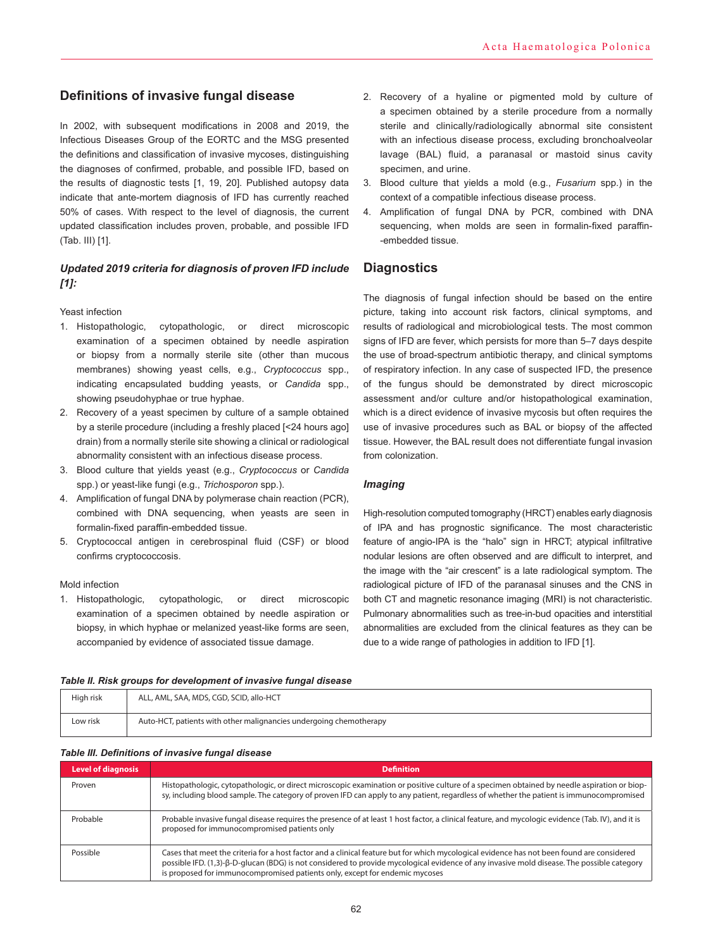# **Definitions of invasive fungal disease**

In 2002, with subsequent modifications in 2008 and 2019, the Infectious Diseases Group of the EORTC and the MSG presented the definitions and classification of invasive mycoses, distinguishing the diagnoses of confirmed, probable, and possible IFD, based on the results of diagnostic tests [1, 19, 20]. Published autopsy data indicate that ante-mortem diagnosis of IFD has currently reached 50% of cases. With respect to the level of diagnosis, the current updated classification includes proven, probable, and possible IFD (Tab. III) [1].

## *Updated 2019 criteria for diagnosis of proven IFD include [1]:*

#### Yeast infection

- 1. Histopathologic, cytopathologic, or direct microscopic examination of a specimen obtained by needle aspiration or biopsy from a normally sterile site (other than mucous membranes) showing yeast cells, e.g., *Cryptococcus* spp., indicating encapsulated budding yeasts, or *Candida* spp., showing pseudohyphae or true hyphae.
- 2. Recovery of a yeast specimen by culture of a sample obtained by a sterile procedure (including a freshly placed [<24 hours ago] drain) from a normally sterile site showing a clinical or radiological abnormality consistent with an infectious disease process.
- 3. Blood culture that yields yeast (e.g., *Cryptococcus* or *Candida* spp.) or yeast-like fungi (e.g., *Trichosporon* spp.).
- 4. Amplification of fungal DNA by polymerase chain reaction (PCR), combined with DNA sequencing, when yeasts are seen in formalin-fixed paraffin-embedded tissue.
- 5. Cryptococcal antigen in cerebrospinal fluid (CSF) or blood confirms cryptococcosis.

#### Mold infection

1. Histopathologic, cytopathologic, or direct microscopic examination of a specimen obtained by needle aspiration or biopsy, in which hyphae or melanized yeast-like forms are seen, accompanied by evidence of associated tissue damage.

- 2. Recovery of a hyaline or pigmented mold by culture of a specimen obtained by a sterile procedure from a normally sterile and clinically/radiologically abnormal site consistent with an infectious disease process, excluding bronchoalveolar lavage (BAL) fluid, a paranasal or mastoid sinus cavity specimen, and urine.
- 3. Blood culture that yields a mold (e.g., *Fusarium* spp.) in the context of a compatible infectious disease process.
- 4. Amplification of fungal DNA by PCR, combined with DNA sequencing, when molds are seen in formalin-fixed paraffin- -embedded tissue.

# **Diagnostics**

The diagnosis of fungal infection should be based on the entire picture, taking into account risk factors, clinical symptoms, and results of radiological and microbiological tests. The most common signs of IFD are fever, which persists for more than 5–7 days despite the use of broad-spectrum antibiotic therapy, and clinical symptoms of respiratory infection. In any case of suspected IFD, the presence of the fungus should be demonstrated by direct microscopic assessment and/or culture and/or histopathological examination, which is a direct evidence of invasive mycosis but often requires the use of invasive procedures such as BAL or biopsy of the affected tissue. However, the BAL result does not differentiate fungal invasion from colonization.

## *Imaging*

High-resolution computed tomography (HRCT) enables early diagnosis of IPA and has prognostic significance. The most characteristic feature of angio-IPA is the "halo" sign in HRCT; atypical infiltrative nodular lesions are often observed and are difficult to interpret, and the image with the "air crescent" is a late radiological symptom. The radiological picture of IFD of the paranasal sinuses and the CNS in both CT and magnetic resonance imaging (MRI) is not characteristic. Pulmonary abnormalities such as tree-in-bud opacities and interstitial abnormalities are excluded from the clinical features as they can be due to a wide range of pathologies in addition to IFD [1].

#### *Table II. Risk groups for development of invasive fungal disease*

| High risk | ALL, AML, SAA, MDS, CGD, SCID, allo-HCT                            |
|-----------|--------------------------------------------------------------------|
| Low risk  | Auto-HCT, patients with other malignancies undergoing chemotherapy |

#### *Table III. Definitions of invasive fungal disease*

| <b>Level of diagnosis</b> | <b>Definition</b>                                                                                                                                                                                                                                                                                                                                                       |
|---------------------------|-------------------------------------------------------------------------------------------------------------------------------------------------------------------------------------------------------------------------------------------------------------------------------------------------------------------------------------------------------------------------|
| Proven                    | Histopathologic, cytopathologic, or direct microscopic examination or positive culture of a specimen obtained by needle aspiration or biop-<br>sy, including blood sample. The category of proven IFD can apply to any patient, regardless of whether the patient is immunocompromised                                                                                  |
| Probable                  | Probable invasive fungal disease requires the presence of at least 1 host factor, a clinical feature, and mycologic evidence (Tab. IV), and it is<br>proposed for immunocompromised patients only                                                                                                                                                                       |
| Possible                  | Cases that meet the criteria for a host factor and a clinical feature but for which mycological evidence has not been found are considered<br>possible IFD. (1,3)-ß-D-qlucan (BDG) is not considered to provide mycological evidence of any invasive mold disease. The possible category<br>is proposed for immunocompromised patients only, except for endemic mycoses |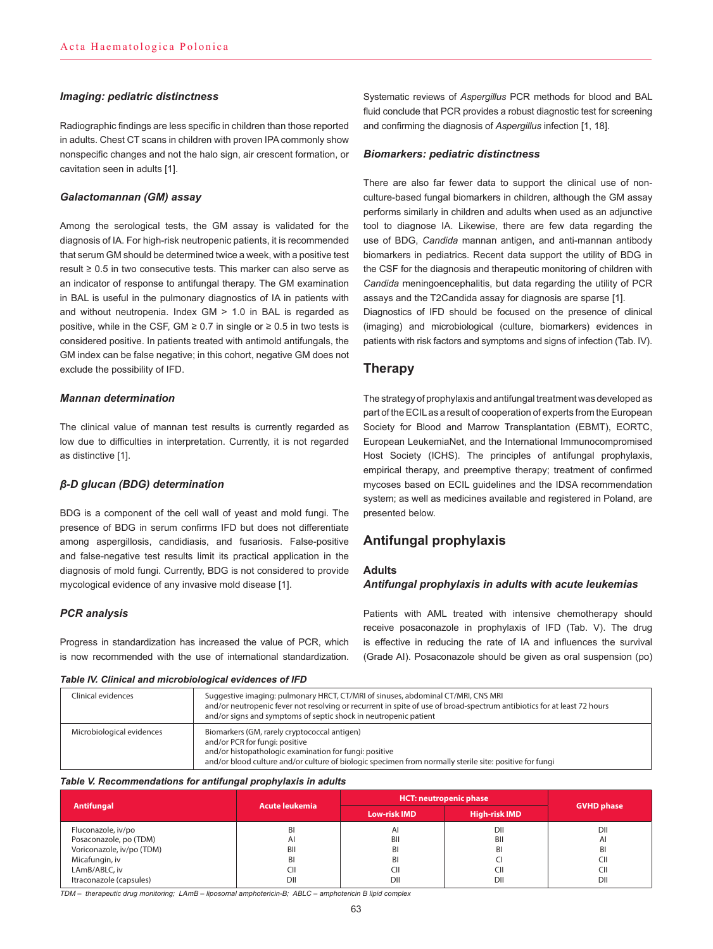### *Imaging: pediatric distinctness*

Radiographic findings are less specific in children than those reported in adults. Chest CT scans in children with proven IPA commonly show nonspecific changes and not the halo sign, air crescent formation, or cavitation seen in adults [1].

### *Galactomannan (GM) assay*

Among the serological tests, the GM assay is validated for the diagnosis of IA. For high-risk neutropenic patients, it is recommended that serum GM should be determined twice a week, with a positive test result ≥ 0.5 in two consecutive tests. This marker can also serve as an indicator of response to antifungal therapy. The GM examination in BAL is useful in the pulmonary diagnostics of IA in patients with and without neutropenia. Index GM > 1.0 in BAL is regarded as positive, while in the CSF, GM ≥ 0.7 in single or  $\geq$  0.5 in two tests is considered positive. In patients treated with antimold antifungals, the GM index can be false negative; in this cohort, negative GM does not exclude the possibility of IFD.

### *Mannan determination*

The clinical value of mannan test results is currently regarded as low due to difficulties in interpretation. Currently, it is not regarded as distinctive [1].

### *β-D glucan (BDG) determination*

BDG is a component of the cell wall of yeast and mold fungi. The presence of BDG in serum confirms IFD but does not differentiate among aspergillosis, candidiasis, and fusariosis. False-positive and false-negative test results limit its practical application in the diagnosis of mold fungi. Currently, BDG is not considered to provide mycological evidence of any invasive mold disease [1].

### *PCR analysis*

Progress in standardization has increased the value of PCR, which is now recommended with the use of international standardization.

#### *Table IV. Clinical and microbiological evidences of IFD*

Systematic reviews of *Aspergillus* PCR methods for blood and BAL fluid conclude that PCR provides a robust diagnostic test for screening and confirming the diagnosis of *Aspergillus* infection [1, 18].

### *Biomarkers: pediatric distinctness*

There are also far fewer data to support the clinical use of nonculture-based fungal biomarkers in children, although the GM assay performs similarly in children and adults when used as an adjunctive tool to diagnose IA. Likewise, there are few data regarding the use of BDG, *Candida* mannan antigen, and anti-mannan antibody biomarkers in pediatrics. Recent data support the utility of BDG in the CSF for the diagnosis and therapeutic monitoring of children with *Candida* meningoencephalitis, but data regarding the utility of PCR assays and the T2Candida assay for diagnosis are sparse [1].

Diagnostics of IFD should be focused on the presence of clinical (imaging) and microbiological (culture, biomarkers) evidences in patients with risk factors and symptoms and signs of infection (Tab. IV).

# **Therapy**

The strategy of prophylaxis and antifungal treatment was developed as part of the ECIL as a result of cooperation of experts from the European Society for Blood and Marrow Transplantation (EBMT), EORTC, European LeukemiaNet, and the International Immunocompromised Host Society (ICHS). The principles of antifungal prophylaxis, empirical therapy, and preemptive therapy; treatment of confirmed mycoses based on ECIL guidelines and the IDSA recommendation system; as well as medicines available and registered in Poland, are presented below.

# **Antifungal prophylaxis**

### **Adults**

### *Antifungal prophylaxis in adults with acute leukemias*

Patients with AML treated with intensive chemotherapy should receive posaconazole in prophylaxis of IFD (Tab. V). The drug is effective in reducing the rate of IA and influences the survival (Grade AI). Posaconazole should be given as oral suspension (po)

| Clinical evidences        | Suggestive imaging: pulmonary HRCT, CT/MRI of sinuses, abdominal CT/MRI, CNS MRI<br>and/or neutropenic fever not resolving or recurrent in spite of use of broad-spectrum antibiotics for at least 72 hours<br>and/or signs and symptoms of septic shock in neutropenic patient |
|---------------------------|---------------------------------------------------------------------------------------------------------------------------------------------------------------------------------------------------------------------------------------------------------------------------------|
| Microbiological evidences | Biomarkers (GM, rarely cryptococcal antigen)<br>and/or PCR for fungi: positive<br>and/or histopathologic examination for fungi: positive<br>and/or blood culture and/or culture of biologic specimen from normally sterile site: positive for fungi                             |

#### *Table V. Recommendations for antifungal prophylaxis in adults*

| <b>Antifungal</b>         | <b>Acute leukemia</b> | <b>HCT: neutropenic phase</b> | <b>GVHD phase</b>    |              |
|---------------------------|-----------------------|-------------------------------|----------------------|--------------|
|                           |                       | <b>Low-risk IMD</b>           | <b>High-risk IMD</b> |              |
| Fluconazole, iv/po        | BI                    | AI                            | DII                  | DII          |
| Posaconazole, po (TDM)    | Al                    | BII                           | BII                  | $\mathsf{A}$ |
| Voriconazole, iv/po (TDM) | BII                   | BI                            | BI                   | BI           |
| Micafungin, iv            | BI                    | BI                            |                      | CII          |
| LAmB/ABLC, iv             | CII                   | CII                           | CII                  | CII          |
| Itraconazole (capsules)   | DII                   | DII                           | DII                  | DII          |

*TDM – therapeutic drug monitoring; LAmB – liposomal amphotericin-B; ABLC – amphotericin B lipid complex*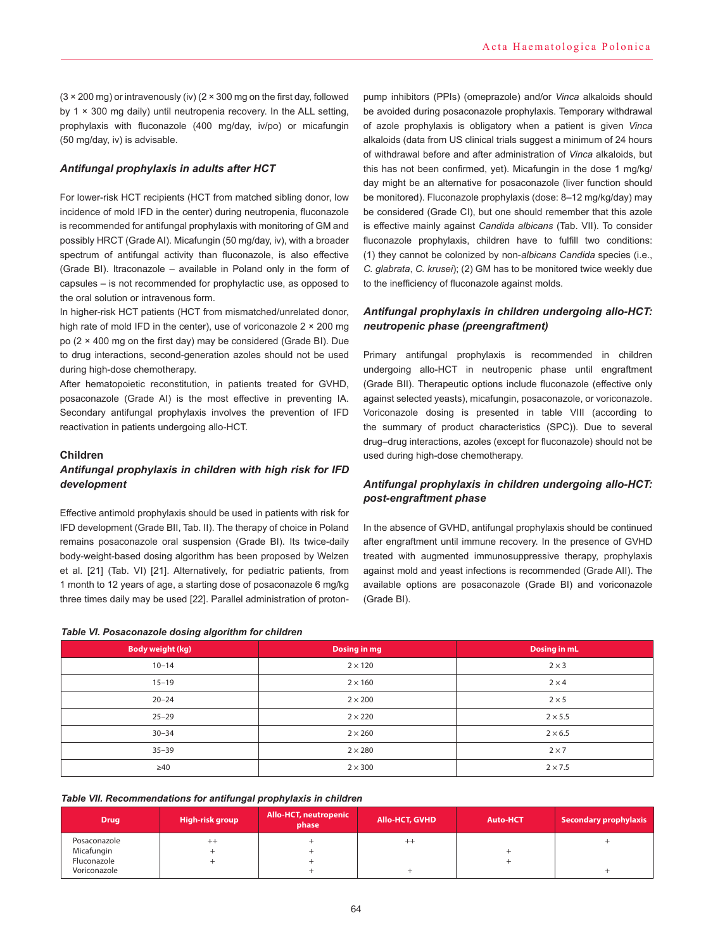$(3 \times 200 \text{ mg})$  or intravenously (iv)  $(2 \times 300 \text{ mg})$  on the first day, followed by 1 × 300 mg daily) until neutropenia recovery. In the ALL setting, prophylaxis with fluconazole (400 mg/day, iv/po) or micafungin (50 mg/day, iv) is advisable.

### *Antifungal prophylaxis in adults after HCT*

For lower-risk HCT recipients (HCT from matched sibling donor, low incidence of mold IFD in the center) during neutropenia, fluconazole is recommended for antifungal prophylaxis with monitoring of GM and possibly HRCT (Grade AI). Micafungin (50 mg/day, iv), with a broader spectrum of antifungal activity than fluconazole, is also effective (Grade BI). Itraconazole – available in Poland only in the form of capsules – is not recommended for prophylactic use, as opposed to the oral solution or intravenous form.

In higher-risk HCT patients (HCT from mismatched/unrelated donor, high rate of mold IFD in the center), use of voriconazole 2 × 200 mg po (2 × 400 mg on the first day) may be considered (Grade BI). Due to drug interactions, second-generation azoles should not be used during high-dose chemotherapy.

After hematopoietic reconstitution, in patients treated for GVHD, posaconazole (Grade AI) is the most effective in preventing IA. Secondary antifungal prophylaxis involves the prevention of IFD reactivation in patients undergoing allo-HCT.

#### **Children**

# *Antifungal prophylaxis in children with high risk for IFD development*

Effective antimold prophylaxis should be used in patients with risk for IFD development (Grade BII, Tab. II). The therapy of choice in Poland remains posaconazole oral suspension (Grade BI). Its twice-daily body-weight-based dosing algorithm has been proposed by Welzen et al. [21] (Tab. VI) [21]. Alternatively, for pediatric patients, from 1 month to 12 years of age, a starting dose of posaconazole 6 mg/kg three times daily may be used [22]. Parallel administration of proton-

### *Table VI. Posaconazole dosing algorithm for children*

pump inhibitors (PPIs) (omeprazole) and/or *Vinca* alkaloids should be avoided during posaconazole prophylaxis. Temporary withdrawal of azole prophylaxis is obligatory when a patient is given *Vinca* alkaloids (data from US clinical trials suggest a minimum of 24 hours of withdrawal before and after administration of *Vinca* alkaloids, but this has not been confirmed, yet). Micafungin in the dose 1 mg/kg/ day might be an alternative for posaconazole (liver function should be monitored). Fluconazole prophylaxis (dose: 8–12 mg/kg/day) may be considered (Grade CI), but one should remember that this azole is effective mainly against *Candida albicans* (Tab. VII). To consider fluconazole prophylaxis, children have to fulfill two conditions: (1) they cannot be colonized by non-*albicans Candida* species (i.e., *C. glabrata*, *C. krusei*); (2) GM has to be monitored twice weekly due to the inefficiency of fluconazole against molds.

## *Antifungal prophylaxis in children undergoing allo-HCT: neutropenic phase (preengraftment)*

Primary antifungal prophylaxis is recommended in children undergoing allo-HCT in neutropenic phase until engraftment (Grade BII). Therapeutic options include fluconazole (effective only against selected yeasts), micafungin, posaconazole, or voriconazole. Voriconazole dosing is presented in table VIII (according to the summary of product characteristics (SPC)). Due to several drug–drug interactions, azoles (except for fluconazole) should not be used during high-dose chemotherapy.

## *Antifungal prophylaxis in children undergoing allo-HCT: post-engraftment phase*

In the absence of GVHD, antifungal prophylaxis should be continued after engraftment until immune recovery. In the presence of GVHD treated with augmented immunosuppressive therapy, prophylaxis against mold and yeast infections is recommended (Grade AII). The available options are posaconazole (Grade BI) and voriconazole (Grade BI).

| <b>Body weight (kg)</b> | Dosing in mg   | Dosing in mL   |
|-------------------------|----------------|----------------|
| $10 - 14$               | $2 \times 120$ | $2 \times 3$   |
| $15 - 19$               | $2 \times 160$ | $2 \times 4$   |
| $20 - 24$               | $2 \times 200$ | $2 \times 5$   |
| $25 - 29$               | $2 \times 220$ | $2 \times 5.5$ |
| $30 - 34$               | $2 \times 260$ | $2 \times 6.5$ |
| $35 - 39$               | $2 \times 280$ | $2 \times 7$   |
| $\geq 40$               | $2 \times 300$ | $2 \times 7.5$ |

# *Table VII. Recommendations for antifungal prophylaxis in children*

| <b>Drug</b>  | High-risk group | Allo-HCT, neutropenic<br>phase | <b>Allo-HCT, GVHD</b> | Auto-HCT | Secondary prophylaxis |
|--------------|-----------------|--------------------------------|-----------------------|----------|-----------------------|
| Posaconazole | $^{++}$         |                                | $^{++}$               |          |                       |
| Micafungin   |                 |                                |                       |          |                       |
| Fluconazole  |                 |                                |                       |          |                       |
| Voriconazole |                 |                                |                       |          |                       |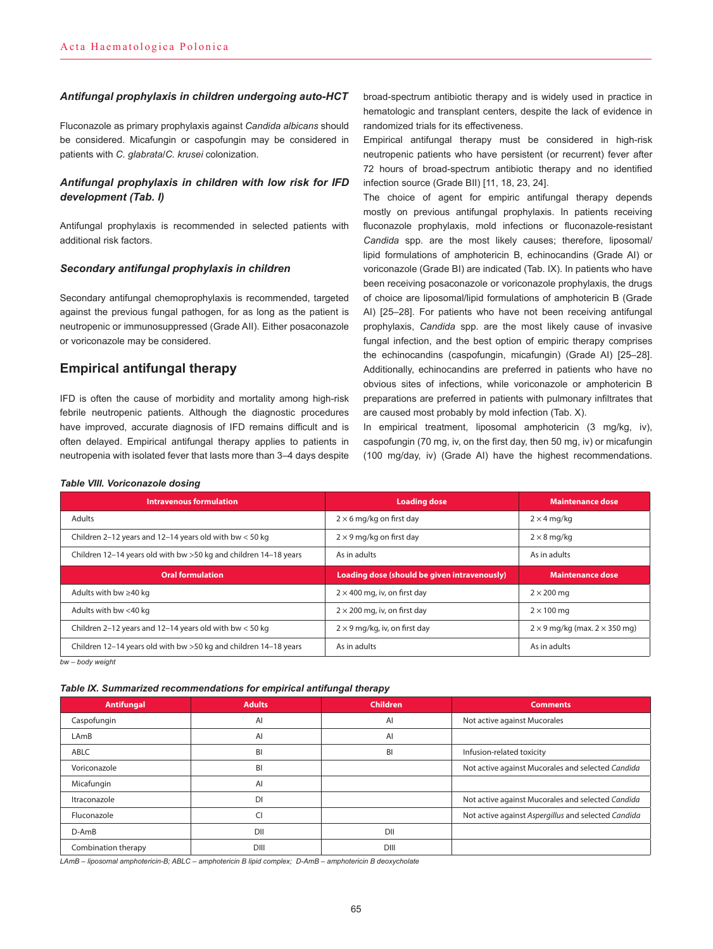#### *Antifungal prophylaxis in children undergoing auto-HCT*

Fluconazole as primary prophylaxis against *Candida albicans* should be considered. Micafungin or caspofungin may be considered in patients with *C. glabrata*/*C. krusei* colonization.

### *Antifungal prophylaxis in children with low risk for IFD development (Tab. I)*

Antifungal prophylaxis is recommended in selected patients with additional risk factors.

### *Secondary antifungal prophylaxis in children*

Secondary antifungal chemoprophylaxis is recommended, targeted against the previous fungal pathogen, for as long as the patient is neutropenic or immunosuppressed (Grade AII). Either posaconazole or voriconazole may be considered.

# **Empirical antifungal therapy**

*Table VIII. Voriconazole dosing*

IFD is often the cause of morbidity and mortality among high-risk febrile neutropenic patients. Although the diagnostic procedures have improved, accurate diagnosis of IFD remains difficult and is often delayed. Empirical antifungal therapy applies to patients in neutropenia with isolated fever that lasts more than 3–4 days despite

broad-spectrum antibiotic therapy and is widely used in practice in hematologic and transplant centers, despite the lack of evidence in randomized trials for its effectiveness.

Empirical antifungal therapy must be considered in high-risk neutropenic patients who have persistent (or recurrent) fever after 72 hours of broad-spectrum antibiotic therapy and no identified infection source (Grade BII) [11, 18, 23, 24].

The choice of agent for empiric antifungal therapy depends mostly on previous antifungal prophylaxis. In patients receiving fluconazole prophylaxis, mold infections or fluconazole-resistant *Candida* spp. are the most likely causes; therefore, liposomal/ lipid formulations of amphotericin B, echinocandins (Grade AI) or voriconazole (Grade BI) are indicated (Tab. IX). In patients who have been receiving posaconazole or voriconazole prophylaxis, the drugs of choice are liposomal/lipid formulations of amphotericin B (Grade AI) [25–28]. For patients who have not been receiving antifungal prophylaxis, *Candida* spp. are the most likely cause of invasive fungal infection, and the best option of empiric therapy comprises the echinocandins (caspofungin, micafungin) (Grade AI) [25–28]. Additionally, echinocandins are preferred in patients who have no obvious sites of infections, while voriconazole or amphotericin B preparations are preferred in patients with pulmonary infiltrates that are caused most probably by mold infection (Tab. X).

In empirical treatment, liposomal amphotericin (3 mg/kg, iv), caspofungin (70 mg, iv, on the first day, then 50 mg, iv) or micafungin (100 mg/day, iv) (Grade AI) have the highest recommendations.

| <b>Intravenous formulation</b>                                    | <b>Loading dose</b>                          | <b>Maintenance dose</b>                     |
|-------------------------------------------------------------------|----------------------------------------------|---------------------------------------------|
| Adults                                                            | $2 \times 6$ mg/kg on first day              | $2 \times 4$ mg/kg                          |
| Children 2-12 years and 12-14 years old with bw $<$ 50 kg         | $2 \times 9$ mg/kg on first day              | $2 \times 8$ mg/kg                          |
| Children 12-14 years old with bw > 50 kg and children 14-18 years | As in adults                                 | As in adults                                |
|                                                                   |                                              |                                             |
| <b>Oral formulation</b>                                           | Loading dose (should be given intravenously) | <b>Maintenance dose</b>                     |
| Adults with bw $\geq$ 40 kg                                       | $2 \times 400$ mg, iv, on first day          | $2 \times 200$ ma                           |
| Adults with bw <40 kg                                             | $2 \times 200$ mg, iv, on first day          | $2 \times 100$ mg                           |
| Children 2-12 years and 12-14 years old with bw $<$ 50 kg         | $2 \times 9$ mg/kg, iv, on first day         | $2 \times 9$ mg/kg (max. $2 \times 350$ mg) |

*bw – body weight*

#### *Table IX. Summarized recommendations for empirical antifungal therapy*

| <b>Antifungal</b>   | <b>Adults</b> | <b>Children</b> | <b>Comments</b>                                     |
|---------------------|---------------|-----------------|-----------------------------------------------------|
| Caspofungin         | AI            | AI              | Not active against Mucorales                        |
| LAmB                | AI            | AI              |                                                     |
| ABLC                | BI            | BI              | Infusion-related toxicity                           |
| Voriconazole        | BI            |                 | Not active against Mucorales and selected Candida   |
| Micafungin          | AI            |                 |                                                     |
| Itraconazole        | <b>DI</b>     |                 | Not active against Mucorales and selected Candida   |
| Fluconazole         | CI            |                 | Not active against Aspergillus and selected Candida |
| D-AmB               | DII           | DII             |                                                     |
| Combination therapy | DIII          | DIII            |                                                     |

*LAmB – liposomal amphotericin-B; ABLC – amphotericin B lipid complex; D-AmB – amphotericin B deoxycholate*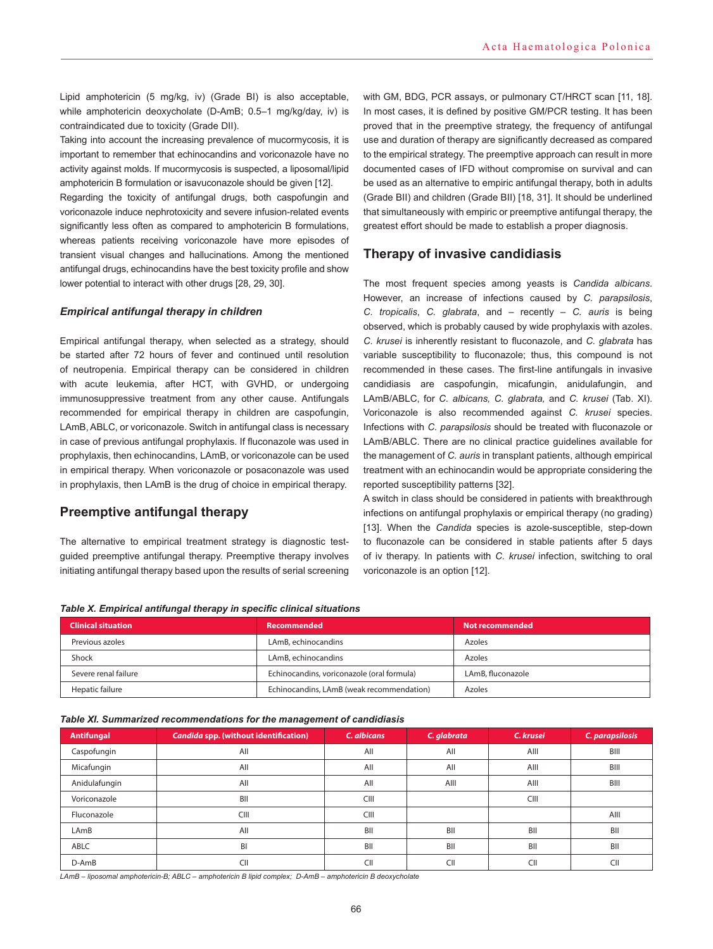Lipid amphotericin (5 mg/kg, iv) (Grade BI) is also acceptable, while amphotericin deoxycholate (D-AmB; 0.5–1 mg/kg/day, iv) is contraindicated due to toxicity (Grade DII).

Taking into account the increasing prevalence of mucormycosis, it is important to remember that echinocandins and voriconazole have no activity against molds. If mucormycosis is suspected, a liposomal/lipid amphotericin B formulation or isavuconazole should be given [12].

Regarding the toxicity of antifungal drugs, both caspofungin and voriconazole induce nephrotoxicity and severe infusion-related events significantly less often as compared to amphotericin B formulations, whereas patients receiving voriconazole have more episodes of transient visual changes and hallucinations. Among the mentioned antifungal drugs, echinocandins have the best toxicity profile and show lower potential to interact with other drugs [28, 29, 30].

#### *Empirical antifungal therapy in children*

Empirical antifungal therapy, when selected as a strategy, should be started after 72 hours of fever and continued until resolution of neutropenia. Empirical therapy can be considered in children with acute leukemia, after HCT, with GVHD, or undergoing immunosuppressive treatment from any other cause. Antifungals recommended for empirical therapy in children are caspofungin, LAmB, ABLC, or voriconazole. Switch in antifungal class is necessary in case of previous antifungal prophylaxis. If fluconazole was used in prophylaxis, then echinocandins, LAmB, or voriconazole can be used in empirical therapy. When voriconazole or posaconazole was used in prophylaxis, then LAmB is the drug of choice in empirical therapy.

# **Preemptive antifungal therapy**

The alternative to empirical treatment strategy is diagnostic testguided preemptive antifungal therapy. Preemptive therapy involves initiating antifungal therapy based upon the results of serial screening with GM, BDG, PCR assays, or pulmonary CT/HRCT scan [11, 18]. In most cases, it is defined by positive GM/PCR testing. It has been proved that in the preemptive strategy, the frequency of antifungal use and duration of therapy are significantly decreased as compared to the empirical strategy. The preemptive approach can result in more documented cases of IFD without compromise on survival and can be used as an alternative to empiric antifungal therapy, both in adults (Grade BII) and children (Grade BII) [18, 31]. It should be underlined that simultaneously with empiric or preemptive antifungal therapy, the greatest effort should be made to establish a proper diagnosis.

# **Therapy of invasive candidiasis**

The most frequent species among yeasts is *Candida albicans*. However, an increase of infections caused by *C. parapsilosis*, *C. tropicalis*, *C. glabrata*, and – recently – *C. auris* is being observed, which is probably caused by wide prophylaxis with azoles. *C. krusei* is inherently resistant to fluconazole, and *C. glabrata* has variable susceptibility to fluconazole; thus, this compound is not recommended in these cases. The first-line antifungals in invasive candidiasis are caspofungin, micafungin, anidulafungin, and LAmB/ABLC, for *C. albicans, C. glabrata,* and *C. krusei* (Tab. XI). Voriconazole is also recommended against *C. krusei* species. Infections with *C. parapsilosis* should be treated with fluconazole or LAmB/ABLC. There are no clinical practice guidelines available for the management of *C. auris* in transplant patients, although empirical treatment with an echinocandin would be appropriate considering the reported susceptibility patterns [32].

A switch in class should be considered in patients with breakthrough infections on antifungal prophylaxis or empirical therapy (no grading) [13]. When the *Candida* species is azole-susceptible, step-down to fluconazole can be considered in stable patients after 5 days of iv therapy. In patients with *C. krusei* infection, switching to oral voriconazole is an option [12].

*Table X. Empirical antifungal therapy in specific clinical situations*

| <b>Clinical situation</b><br>Recommended |                                            | Not recommended   |
|------------------------------------------|--------------------------------------------|-------------------|
| Previous azoles                          | LAmB, echinocandins                        | Azoles            |
| Shock                                    | LAmB, echinocandins                        | Azoles            |
| Severe renal failure                     | Echinocandins, voriconazole (oral formula) | LAmB, fluconazole |
| Hepatic failure                          | Echinocandins, LAmB (weak recommendation)  | Azoles            |

#### *Table XI. Summarized recommendations for the management of candidiasis*

| <b>Antifungal</b> | Candida spp. (without identification) | C. albicans | C. glabrata | C. krusei | C. parapsilosis |
|-------------------|---------------------------------------|-------------|-------------|-----------|-----------------|
| Caspofungin       | All                                   | All         | All         | AIII      | BIII            |
| Micafungin        | All                                   | All         | All         | AIII      | BIII            |
| Anidulafungin     | All                                   | All         | AIII        | AIII      | BIII            |
| Voriconazole      | BII                                   | CIII        |             | CIII      |                 |
| Fluconazole       | <b>CIII</b>                           | CIII        |             |           | AIII            |
| LAmB              | All                                   | BII         | BII         | BII       | BII             |
| ABLC              | BI                                    | BII         | BII         | BII       | BII             |
| D-AmB             | СII                                   | CII         | CII         | CII       | CII             |

*LAmB – liposomal amphotericin-B; ABLC – amphotericin B lipid complex; D-AmB – amphotericin B deoxycholate*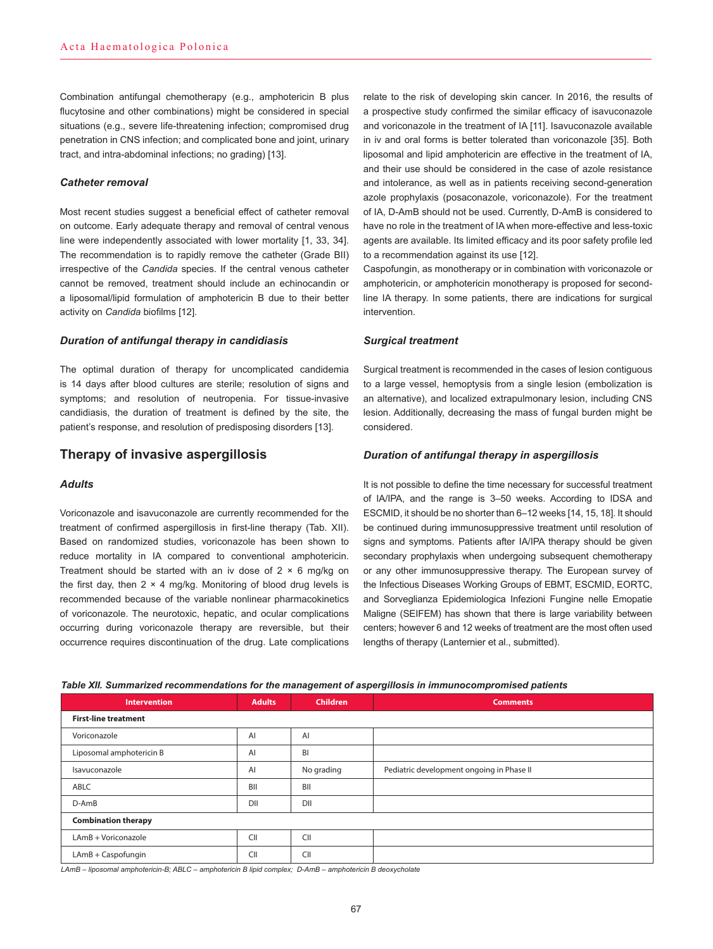Combination antifungal chemotherapy (e.g., amphotericin B plus flucytosine and other combinations) might be considered in special situations (e.g., severe life-threatening infection; compromised drug penetration in CNS infection; and complicated bone and joint, urinary tract, and intra-abdominal infections; no grading) [13].

### *Catheter removal*

Most recent studies suggest a beneficial effect of catheter removal on outcome. Early adequate therapy and removal of central venous line were independently associated with lower mortality [1, 33, 34]. The recommendation is to rapidly remove the catheter (Grade BII) irrespective of the *Candida* species. If the central venous catheter cannot be removed, treatment should include an echinocandin or a liposomal/lipid formulation of amphotericin B due to their better activity on *Candida* biofilms [12].

#### *Duration of antifungal therapy in candidiasis*

The optimal duration of therapy for uncomplicated candidemia is 14 days after blood cultures are sterile; resolution of signs and symptoms; and resolution of neutropenia. For tissue-invasive candidiasis, the duration of treatment is defined by the site, the patient's response, and resolution of predisposing disorders [13].

## **Therapy of invasive aspergillosis**

### *Adults*

Voriconazole and isavuconazole are currently recommended for the treatment of confirmed aspergillosis in first-line therapy (Tab. XII). Based on randomized studies, voriconazole has been shown to reduce mortality in IA compared to conventional amphotericin. Treatment should be started with an iv dose of  $2 \times 6$  mg/kg on the first day, then  $2 \times 4$  mg/kg. Monitoring of blood drug levels is recommended because of the variable nonlinear pharmacokinetics of voriconazole. The neurotoxic, hepatic, and ocular complications occurring during voriconazole therapy are reversible, but their occurrence requires discontinuation of the drug. Late complications

relate to the risk of developing skin cancer. In 2016, the results of a prospective study confirmed the similar efficacy of isavuconazole and voriconazole in the treatment of IA [11]. Isavuconazole available in iv and oral forms is better tolerated than voriconazole [35]. Both liposomal and lipid amphotericin are effective in the treatment of IA, and their use should be considered in the case of azole resistance and intolerance, as well as in patients receiving second-generation azole prophylaxis (posaconazole, voriconazole). For the treatment of IA, D-AmB should not be used. Currently, D-AmB is considered to have no role in the treatment of IA when more-effective and less-toxic agents are available. Its limited efficacy and its poor safety profile led to a recommendation against its use [12].

Caspofungin, as monotherapy or in combination with voriconazole or amphotericin, or amphotericin monotherapy is proposed for secondline IA therapy. In some patients, there are indications for surgical intervention.

#### *Surgical treatment*

Surgical treatment is recommended in the cases of lesion contiguous to a large vessel, hemoptysis from a single lesion (embolization is an alternative), and localized extrapulmonary lesion, including CNS lesion. Additionally, decreasing the mass of fungal burden might be considered.

#### *Duration of antifungal therapy in aspergillosis*

It is not possible to define the time necessary for successful treatment of IA/IPA, and the range is 3–50 weeks. According to IDSA and ESCMID, it should be no shorter than 6–12 weeks [14, 15, 18]. It should be continued during immunosuppressive treatment until resolution of signs and symptoms. Patients after IA/IPA therapy should be given secondary prophylaxis when undergoing subsequent chemotherapy or any other immunosuppressive therapy. The European survey of the Infectious Diseases Working Groups of EBMT, ESCMID, EORTC, and Sorveglianza Epidemiologica Infezioni Fungine nelle Emopatie Maligne (SEIFEM) has shown that there is large variability between centers; however 6 and 12 weeks of treatment are the most often used lengths of therapy (Lanternier et al., submitted).

|  |  |  | Table XII. Summarized recommendations for the management of aspergillosis in immunocompromised patients |  |
|--|--|--|---------------------------------------------------------------------------------------------------------|--|
|  |  |  |                                                                                                         |  |

| <b>Intervention</b>         | <b>Adults</b> | <b>Children</b> | <b>Comments</b>                           |  |
|-----------------------------|---------------|-----------------|-------------------------------------------|--|
| <b>First-line treatment</b> |               |                 |                                           |  |
| Voriconazole                | AI            | AI              |                                           |  |
| Liposomal amphotericin B    | AI            | BI              |                                           |  |
| Isavuconazole               | AI            | No grading      | Pediatric development ongoing in Phase II |  |
| ABLC                        | BII           | BII             |                                           |  |
| D-AmB                       | DII           | DII             |                                           |  |
| <b>Combination therapy</b>  |               |                 |                                           |  |
| LAmB + Voriconazole         | CII           | CII             |                                           |  |
| LAmB + Caspofungin          | CII           | CII             |                                           |  |

*LAmB – liposomal amphotericin-B; ABLC – amphotericin B lipid complex; D-AmB – amphotericin B deoxycholate*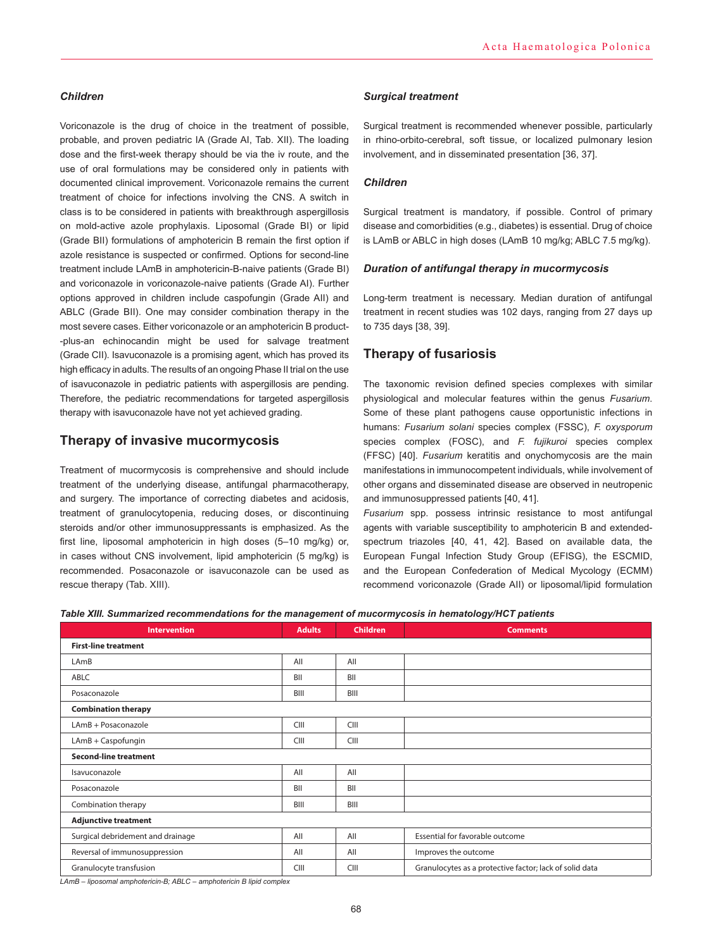### *Children*

Voriconazole is the drug of choice in the treatment of possible, probable, and proven pediatric IA (Grade AI, Tab. XII). The loading dose and the first-week therapy should be via the iv route, and the use of oral formulations may be considered only in patients with documented clinical improvement. Voriconazole remains the current treatment of choice for infections involving the CNS. A switch in class is to be considered in patients with breakthrough aspergillosis on mold-active azole prophylaxis. Liposomal (Grade BI) or lipid (Grade BII) formulations of amphotericin B remain the first option if azole resistance is suspected or confirmed. Options for second-line treatment include LAmB in amphotericin-B-naive patients (Grade BI) and voriconazole in voriconazole-naive patients (Grade AI). Further options approved in children include caspofungin (Grade AII) and ABLC (Grade BII). One may consider combination therapy in the most severe cases. Either voriconazole or an amphotericin B product- -plus-an echinocandin might be used for salvage treatment (Grade CII). Isavuconazole is a promising agent, which has proved its high efficacy in adults. The results of an ongoing Phase II trial on the use of isavuconazole in pediatric patients with aspergillosis are pending. Therefore, the pediatric recommendations for targeted aspergillosis therapy with isavuconazole have not yet achieved grading.

# **Therapy of invasive mucormycosis**

Treatment of mucormycosis is comprehensive and should include treatment of the underlying disease, antifungal pharmacotherapy, and surgery. The importance of correcting diabetes and acidosis, treatment of granulocytopenia, reducing doses, or discontinuing steroids and/or other immunosuppressants is emphasized. As the first line, liposomal amphotericin in high doses (5–10 mg/kg) or, in cases without CNS involvement, lipid amphotericin (5 mg/kg) is recommended. Posaconazole or isavuconazole can be used as rescue therapy (Tab. XIII).

#### *Surgical treatment*

Surgical treatment is recommended whenever possible, particularly in rhino-orbito-cerebral, soft tissue, or localized pulmonary lesion involvement, and in disseminated presentation [36, 37].

### *Children*

Surgical treatment is mandatory, if possible. Control of primary disease and comorbidities (e.g., diabetes) is essential. Drug of choice is LAmB or ABLC in high doses (LAmB 10 mg/kg; ABLC 7.5 mg/kg).

### *Duration of antifungal therapy in mucormycosis*

Long-term treatment is necessary. Median duration of antifungal treatment in recent studies was 102 days, ranging from 27 days up to 735 days [38, 39].

## **Therapy of fusariosis**

The taxonomic revision defined species complexes with similar physiological and molecular features within the genus *Fusarium*. Some of these plant pathogens cause opportunistic infections in humans: *Fusarium solani* species complex (FSSC), *F. oxysporum* species complex (FOSC), and *F. fujikuroi* species complex (FFSC) [40]. *Fusarium* keratitis and onychomycosis are the main manifestations in immunocompetent individuals, while involvement of other organs and disseminated disease are observed in neutropenic and immunosuppressed patients [40, 41].

*Fusarium* spp. possess intrinsic resistance to most antifungal agents with variable susceptibility to amphotericin B and extendedspectrum triazoles [40, 41, 42]. Based on available data, the European Fungal Infection Study Group (EFISG), the ESCMID, and the European Confederation of Medical Mycology (ECMM) recommend voriconazole (Grade AII) or liposomal/lipid formulation

*Table XIII. Summarized recommendations for the management of mucormycosis in hematology/HCT patients*

| <b>Intervention</b>               | <b>Adults</b> | <b>Children</b> | <b>Comments</b>                                         |  |  |
|-----------------------------------|---------------|-----------------|---------------------------------------------------------|--|--|
| <b>First-line treatment</b>       |               |                 |                                                         |  |  |
| LAmB                              | All           | All             |                                                         |  |  |
| ABLC                              | BII           | BII             |                                                         |  |  |
| Posaconazole                      | BIII          | BIII            |                                                         |  |  |
| <b>Combination therapy</b>        |               |                 |                                                         |  |  |
| LAmB + Posaconazole               | CIII          | CIII            |                                                         |  |  |
| LAmB + Caspofungin                | CIII          | CIII            |                                                         |  |  |
| <b>Second-line treatment</b>      |               |                 |                                                         |  |  |
| Isavuconazole                     | All           | All             |                                                         |  |  |
| Posaconazole                      | BII           | BII             |                                                         |  |  |
| Combination therapy               | BIII          | BIII            |                                                         |  |  |
| <b>Adjunctive treatment</b>       |               |                 |                                                         |  |  |
| Surgical debridement and drainage | All           | All             | Essential for favorable outcome                         |  |  |
| Reversal of immunosuppression     | All           | All             | Improves the outcome                                    |  |  |
| Granulocyte transfusion           | CIII          | CIII            | Granulocytes as a protective factor; lack of solid data |  |  |

*LAmB – liposomal amphotericin-B; ABLC – amphotericin B lipid complex*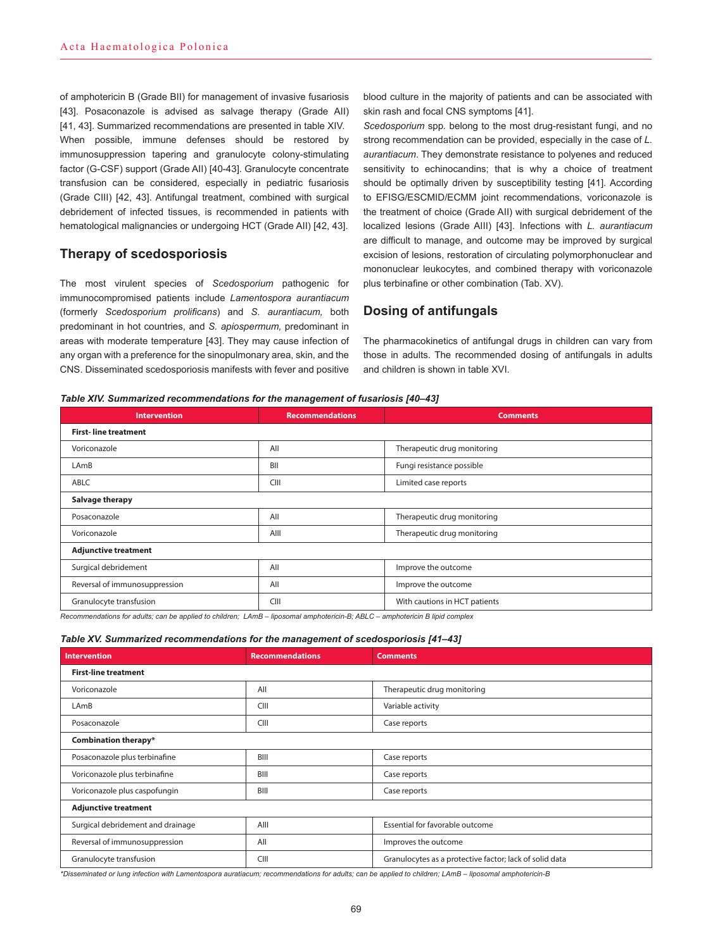of amphotericin B (Grade BII) for management of invasive fusariosis [43]. Posaconazole is advised as salvage therapy (Grade All) [41, 43]. Summarized recommendations are presented in table XIV. When possible, immune defenses should be restored by immunosuppression tapering and granulocyte colony-stimulating factor (G-CSF) support (Grade AII) [40-43]. Granulocyte concentrate transfusion can be considered, especially in pediatric fusariosis (Grade CIII) [42, 43]. Antifungal treatment, combined with surgical debridement of infected tissues, is recommended in patients with hematological malignancies or undergoing HCT (Grade AII) [42, 43].

# **Therapy of scedosporiosis**

The most virulent species of *Scedosporium* pathogenic for immunocompromised patients include *Lamentospora aurantiacum* (formerly *Scedosporium prolificans*) and *S. aurantiacum,* both predominant in hot countries, and *S. apiospermum,* predominant in areas with moderate temperature [43]. They may cause infection of any organ with a preference for the sinopulmonary area, skin, and the CNS. Disseminated scedosporiosis manifests with fever and positive blood culture in the majority of patients and can be associated with skin rash and focal CNS symptoms [41].

*Scedosporium* spp*.* belong to the most drug-resistant fungi, and no strong recommendation can be provided, especially in the case of *L. aurantiacum*. They demonstrate resistance to polyenes and reduced sensitivity to echinocandins; that is why a choice of treatment should be optimally driven by susceptibility testing [41]. According to EFISG/ESCMID/ECMM joint recommendations, voriconazole is the treatment of choice (Grade AII) with surgical debridement of the localized lesions (Grade AIII) [43]. Infections with *L. aurantiacum* are difficult to manage, and outcome may be improved by surgical excision of lesions, restoration of circulating polymorphonuclear and mononuclear leukocytes, and combined therapy with voriconazole plus terbinafine or other combination (Tab. XV).

# **Dosing of antifungals**

The pharmacokinetics of antifungal drugs in children can vary from those in adults. The recommended dosing of antifungals in adults and children is shown in table XVI.

#### *Table XIV. Summarized recommendations for the management of fusariosis [40–43]*

| <b>Intervention</b>           | <b>Recommendations</b>           | <b>Comments</b>               |  |  |
|-------------------------------|----------------------------------|-------------------------------|--|--|
| <b>First-line treatment</b>   |                                  |                               |  |  |
| Voriconazole                  | All                              | Therapeutic drug monitoring   |  |  |
| LAmB                          | Fungi resistance possible<br>BII |                               |  |  |
| <b>ABLC</b>                   | CIII                             | Limited case reports          |  |  |
| Salvage therapy               |                                  |                               |  |  |
| Posaconazole                  | All                              | Therapeutic drug monitoring   |  |  |
| Voriconazole                  | AIII                             | Therapeutic drug monitoring   |  |  |
| <b>Adjunctive treatment</b>   |                                  |                               |  |  |
| Surgical debridement          | All                              | Improve the outcome           |  |  |
| Reversal of immunosuppression | All                              | Improve the outcome           |  |  |
| Granulocyte transfusion       | CIII                             | With cautions in HCT patients |  |  |

*Recommendations for adults; can be applied to children; LAmB – liposomal amphotericin-B; ABLC – amphotericin B lipid complex*

#### *Table XV. Summarized recommendations for the management of scedosporiosis [41–43]*

| <b>Intervention</b>               | <b>Recommendations</b> | <b>Comments</b>                                         |  |  |
|-----------------------------------|------------------------|---------------------------------------------------------|--|--|
| <b>First-line treatment</b>       |                        |                                                         |  |  |
| Voriconazole                      | All                    | Therapeutic drug monitoring                             |  |  |
| LAmB                              | CIII                   | Variable activity                                       |  |  |
| Posaconazole                      | CIII<br>Case reports   |                                                         |  |  |
| Combination therapy*              |                        |                                                         |  |  |
| Posaconazole plus terbinafine     | BIII<br>Case reports   |                                                         |  |  |
| Voriconazole plus terbinafine     | BIII<br>Case reports   |                                                         |  |  |
| Voriconazole plus caspofungin     | BIII                   | Case reports                                            |  |  |
| <b>Adjunctive treatment</b>       |                        |                                                         |  |  |
| Surgical debridement and drainage | AIII                   | Essential for favorable outcome                         |  |  |
| Reversal of immunosuppression     | All                    | Improves the outcome                                    |  |  |
| Granulocyte transfusion           | CIII                   | Granulocytes as a protective factor; lack of solid data |  |  |

*\*Disseminated or lung infection with Lamentospora auratiacum; recommendations for adults; can be applied to children; LAmB – liposomal amphotericin-B*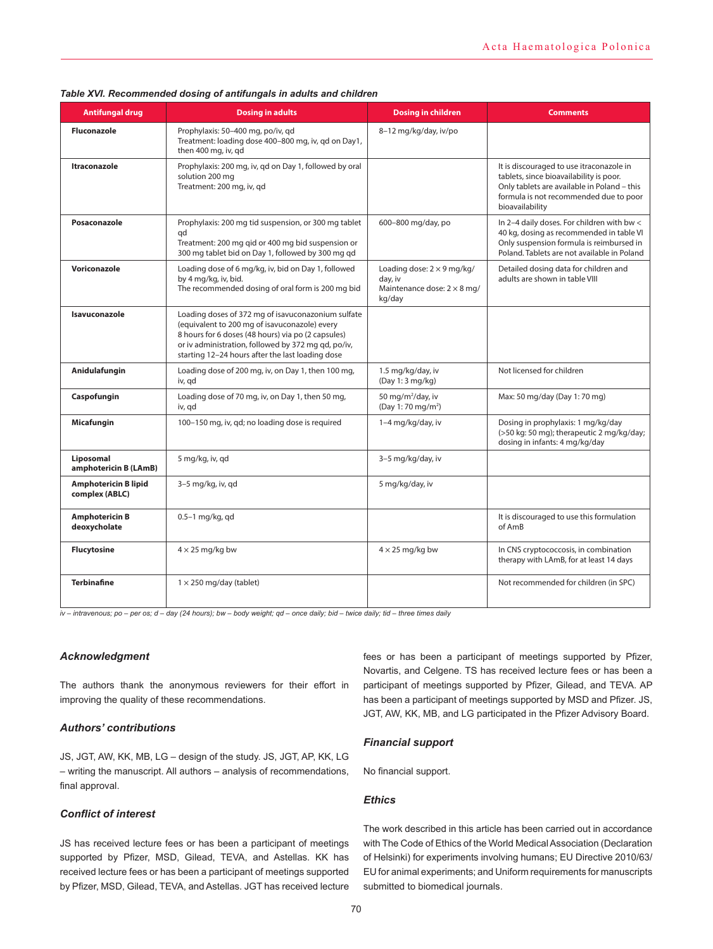| <b>Antifungal drug</b>                        | <b>Dosing in adults</b>                                                                                                                                                                                                                                              | <b>Dosing in children</b>                                                                    | <b>Comments</b>                                                                                                                                                                                 |
|-----------------------------------------------|----------------------------------------------------------------------------------------------------------------------------------------------------------------------------------------------------------------------------------------------------------------------|----------------------------------------------------------------------------------------------|-------------------------------------------------------------------------------------------------------------------------------------------------------------------------------------------------|
| <b>Fluconazole</b>                            | Prophylaxis: 50-400 mg, po/iv, qd<br>Treatment: loading dose 400-800 mg, iv, gd on Day1,<br>then 400 mg, iv, gd                                                                                                                                                      | 8-12 mg/kg/day, iv/po                                                                        |                                                                                                                                                                                                 |
| <b>Itraconazole</b>                           | Prophylaxis: 200 mg, iv, gd on Day 1, followed by oral<br>solution 200 mg<br>Treatment: 200 mg, iv, gd                                                                                                                                                               |                                                                                              | It is discouraged to use itraconazole in<br>tablets, since bioavailability is poor.<br>Only tablets are available in Poland - this<br>formula is not recommended due to poor<br>bioavailability |
| Posaconazole                                  | Prophylaxis: 200 mg tid suspension, or 300 mg tablet<br>qd<br>Treatment: 200 mg gid or 400 mg bid suspension or<br>300 mg tablet bid on Day 1, followed by 300 mg qd                                                                                                 | 600-800 mg/day, po                                                                           | In 2-4 daily doses. For children with bw <<br>40 kg, dosing as recommended in table VI<br>Only suspension formula is reimbursed in<br>Poland. Tablets are not available in Poland               |
| Voriconazole                                  | Loading dose of 6 mg/kg, iv, bid on Day 1, followed<br>by 4 mg/kg, iv, bid.<br>The recommended dosing of oral form is 200 mg bid                                                                                                                                     | Loading dose: $2 \times 9$ mg/kg/<br>day, iv<br>Maintenance dose: $2 \times 8$ mg/<br>kg/day | Detailed dosing data for children and<br>adults are shown in table VIII                                                                                                                         |
| Isavuconazole                                 | Loading doses of 372 mg of isavuconazonium sulfate<br>(equivalent to 200 mg of isavuconazole) every<br>8 hours for 6 doses (48 hours) via po (2 capsules)<br>or iv administration, followed by 372 mg gd, po/iv,<br>starting 12-24 hours after the last loading dose |                                                                                              |                                                                                                                                                                                                 |
| Anidulafungin                                 | Loading dose of 200 mg, iv, on Day 1, then 100 mg,<br>iv, gd                                                                                                                                                                                                         | 1.5 mg/kg/day, iv<br>(Day 1: 3 mg/kg)                                                        | Not licensed for children                                                                                                                                                                       |
| Caspofungin                                   | Loading dose of 70 mg, iv, on Day 1, then 50 mg,<br>iv, qd                                                                                                                                                                                                           | 50 mg/m <sup>2</sup> /day, iv<br>(Day 1:70 mg/m <sup>2</sup> )                               | Max: 50 mg/day (Day 1: 70 mg)                                                                                                                                                                   |
| Micafungin                                    | 100-150 mg, iv, gd; no loading dose is required                                                                                                                                                                                                                      | 1-4 mg/kg/day, iv                                                                            | Dosing in prophylaxis: 1 mg/kg/day<br>(>50 kg: 50 mg); therapeutic 2 mg/kg/day;<br>dosing in infants: 4 mg/kg/day                                                                               |
| Liposomal<br>amphotericin B (LAmB)            | 5 mg/kg, iv, gd                                                                                                                                                                                                                                                      | 3-5 mg/kg/day, iv                                                                            |                                                                                                                                                                                                 |
| <b>Amphotericin B lipid</b><br>complex (ABLC) | 3-5 mg/kg, iv, gd                                                                                                                                                                                                                                                    | 5 mg/kg/day, iv                                                                              |                                                                                                                                                                                                 |
| <b>Amphotericin B</b><br>deoxycholate         | $0.5-1$ mg/kg, gd                                                                                                                                                                                                                                                    |                                                                                              | It is discouraged to use this formulation<br>of AmB                                                                                                                                             |
| <b>Flucytosine</b>                            | $4 \times 25$ mg/kg bw                                                                                                                                                                                                                                               | $4 \times 25$ mg/kg bw                                                                       | In CNS cryptococcosis, in combination<br>therapy with LAmB, for at least 14 days                                                                                                                |
| <b>Terbinafine</b>                            | $1 \times 250$ mg/day (tablet)                                                                                                                                                                                                                                       |                                                                                              | Not recommended for children (in SPC)                                                                                                                                                           |

#### *Table XVI. Recommended dosing of antifungals in adults and children*

*iv – intravenous; po – per os; d – day (24 hours); bw – body weight; qd – once daily; bid – twice daily; tid – three times daily*

#### *Acknowledgment*

The authors thank the anonymous reviewers for their effort in improving the quality of these recommendations.

### *Authors' contributions*

JS, JGT, AW, KK, MB, LG – design of the study. JS, JGT, AP, KK, LG – writing the manuscript. All authors – analysis of recommendations, final approval.

## *Conflict of interest*

JS has received lecture fees or has been a participant of meetings supported by Pfizer, MSD, Gilead, TEVA, and Astellas. KK has received lecture fees or has been a participant of meetings supported by Pfizer, MSD, Gilead, TEVA, and Astellas. JGT has received lecture

fees or has been a participant of meetings supported by Pfizer, Novartis, and Celgene. TS has received lecture fees or has been a participant of meetings supported by Pfizer, Gilead, and TEVA. AP has been a participant of meetings supported by MSD and Pfizer. JS, JGT, AW, KK, MB, and LG participated in the Pfizer Advisory Board.

### *Financial support*

No financial support.

### *Ethics*

The work described in this article has been carried out in accordance with The Code of Ethics of the World Medical Association (Declaration of Helsinki) for experiments involving humans; EU Directive 2010/63/ EU for animal experiments; and Uniform requirements for manuscripts submitted to biomedical journals.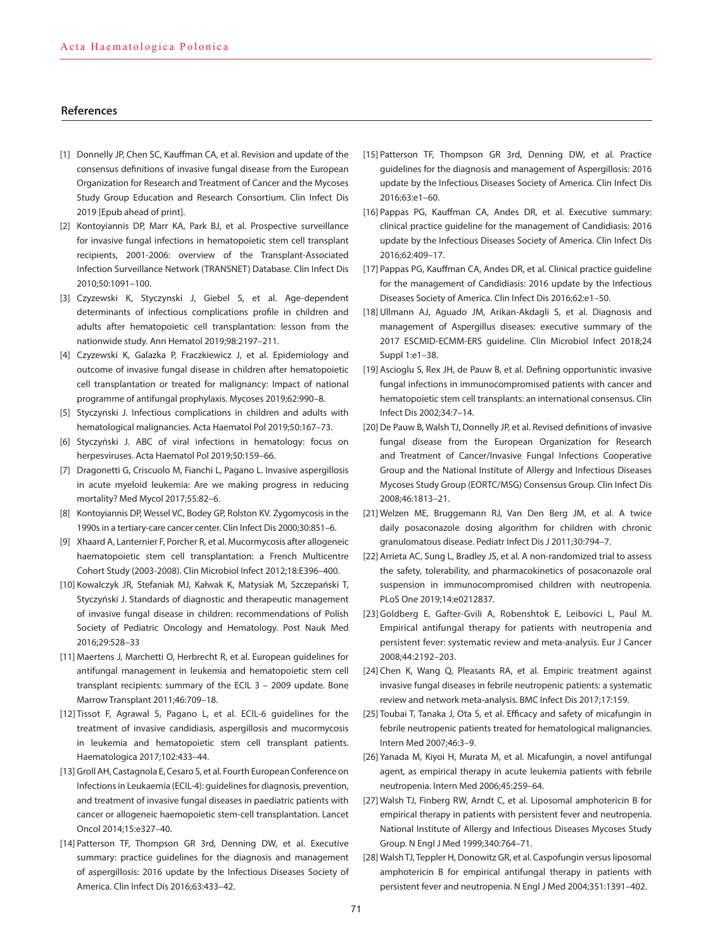#### **References**

- [1] Donnelly JP, Chen SC, Kauffman CA, et al. Revision and update of the consensus definitions of invasive fungal disease from the European Organization for Research and Treatment of Cancer and the Mycoses Study Group Education and Research Consortium. Clin Infect Dis 2019 [Epub ahead of print].
- [2] Kontoyiannis DP, Marr KA, Park BJ, et al. Prospective surveillance for invasive fungal infections in hematopoietic stem cell transplant recipients, 2001-2006: overview of the Transplant-Associated Infection Surveillance Network (TRANSNET) Database. Clin Infect Dis 2010;50:1091–100.
- [3] Czyzewski K, Styczynski J, Giebel S, et al. Age-dependent determinants of infectious complications profile in children and adults after hematopoietic cell transplantation: lesson from the nationwide study. Ann Hematol 2019;98:2197–211.
- [4] Czyzewski K, Galazka P, Fraczkiewicz J, et al. Epidemiology and outcome of invasive fungal disease in children after hematopoietic cell transplantation or treated for malignancy: Impact of national programme of antifungal prophylaxis. Mycoses 2019;62:990–8.
- [5] Styczynski J. Infectious complications in children and adults with hematological malignancies. Acta Haematol Pol 2019;50:167–73.
- [6] Styczyński J. ABC of viral infections in hematology: focus on herpesviruses. Acta Haematol Pol 2019;50:159–66.
- [7] Dragonetti G, Criscuolo M, Fianchi L, Pagano L. Invasive aspergillosis in acute myeloid leukemia: Are we making progress in reducing mortality? Med Mycol 2017;55:82–6.
- [8] Kontoyiannis DP, Wessel VC, Bodey GP, Rolston KV. Zygomycosis in the 1990s in a tertiary-care cancer center. Clin Infect Dis 2000;30:851–6.
- [9] Xhaard A, Lanternier F, Porcher R, et al. Mucormycosis after allogeneic haematopoietic stem cell transplantation: a French Multicentre Cohort Study (2003-2008). Clin Microbiol Infect 2012;18:E396–400.
- [10] Kowalczyk JR, Stefaniak MJ, Kałwak K, Matysiak M, Szczepański T, Styczyński J. Standards of diagnostic and therapeutic management of invasive fungal disease in children: recommendations of Polish Society of Pediatric Oncology and Hematology. Post Nauk Med 2016;29:528–33
- [11] Maertens J, Marchetti O, Herbrecht R, et al. European guidelines for antifungal management in leukemia and hematopoietic stem cell transplant recipients: summary of the ECIL 3 – 2009 update. Bone Marrow Transplant 2011;46:709–18.
- [12] Tissot F, Agrawal S, Pagano L, et al. ECIL-6 guidelines for the treatment of invasive candidiasis, aspergillosis and mucormycosis in leukemia and hematopoietic stem cell transplant patients. Haematologica 2017;102:433–44.
- [13] Groll AH, Castagnola E, Cesaro S, et al. Fourth European Conference on Infections in Leukaemia (ECIL-4): guidelines for diagnosis, prevention, and treatment of invasive fungal diseases in paediatric patients with cancer or allogeneic haemopoietic stem-cell transplantation. Lancet Oncol 2014;15:e327–40.
- [14] Patterson TF, Thompson GR 3rd, Denning DW, et al. Executive summary: practice guidelines for the diagnosis and management of aspergillosis: 2016 update by the Infectious Diseases Society of America. Clin Infect Dis 2016;63:433–42.
- [15] Patterson TF, Thompson GR 3rd, Denning DW, et al. Practice guidelines for the diagnosis and management of Aspergillosis: 2016 update by the Infectious Diseases Society of America. Clin Infect Dis 2016;63:e1–60.
- [16] Pappas PG, Kauffman CA, Andes DR, et al. Executive summary: clinical practice guideline for the management of Candidiasis: 2016 update by the Infectious Diseases Society of America. Clin Infect Dis 2016;62:409–17.
- [17] Pappas PG, Kauffman CA, Andes DR, et al. Clinical practice guideline for the management of Candidiasis: 2016 update by the Infectious Diseases Society of America. Clin Infect Dis 2016;62:e1–50.
- [18] Ullmann AJ, Aguado JM, Arikan-Akdagli S, et al. Diagnosis and management of Aspergillus diseases: executive summary of the 2017 ESCMID-ECMM-ERS guideline. Clin Microbiol Infect 2018;24 Suppl 1:e1–38.
- [19] Ascioglu S, Rex JH, de Pauw B, et al. Defining opportunistic invasive fungal infections in immunocompromised patients with cancer and hematopoietic stem cell transplants: an international consensus. Clin Infect Dis 2002;34:7–14.
- [20] De Pauw B, Walsh TJ, Donnelly JP, et al. Revised definitions of invasive fungal disease from the European Organization for Research and Treatment of Cancer/Invasive Fungal Infections Cooperative Group and the National Institute of Allergy and Infectious Diseases Mycoses Study Group (EORTC/MSG) Consensus Group. Clin Infect Dis 2008;46:1813–21.
- [21] Welzen ME, Bruggemann RJ, Van Den Berg JM, et al. A twice daily posaconazole dosing algorithm for children with chronic granulomatous disease. Pediatr Infect Dis J 2011;30:794–7.
- [22] Arrieta AC, Sung L, Bradley JS, et al. A non-randomized trial to assess the safety, tolerability, and pharmacokinetics of posaconazole oral suspension in immunocompromised children with neutropenia. PLoS One 2019;14:e0212837.
- [23] Goldberg E, Gafter-Gvili A, Robenshtok E, Leibovici L, Paul M. Empirical antifungal therapy for patients with neutropenia and persistent fever: systematic review and meta-analysis. Eur J Cancer 2008;44:2192–203.
- [24] Chen K, Wang Q, Pleasants RA, et al. Empiric treatment against invasive fungal diseases in febrile neutropenic patients: a systematic review and network meta-analysis. BMC Infect Dis 2017;17:159.
- [25] Toubai T, Tanaka J, Ota S, et al. Efficacy and safety of micafungin in febrile neutropenic patients treated for hematological malignancies. Intern Med 2007;46:3–9.
- [26] Yanada M, Kiyoi H, Murata M, et al. Micafungin, a novel antifungal agent, as empirical therapy in acute leukemia patients with febrile neutropenia. Intern Med 2006;45:259–64.
- [27] Walsh TJ, Finberg RW, Arndt C, et al. Liposomal amphotericin B for empirical therapy in patients with persistent fever and neutropenia. National Institute of Allergy and Infectious Diseases Mycoses Study Group. N Engl J Med 1999;340:764–71.
- [28] Walsh TJ, Teppler H, Donowitz GR, et al. Caspofungin versus liposomal amphotericin B for empirical antifungal therapy in patients with persistent fever and neutropenia. N Engl J Med 2004;351:1391–402.